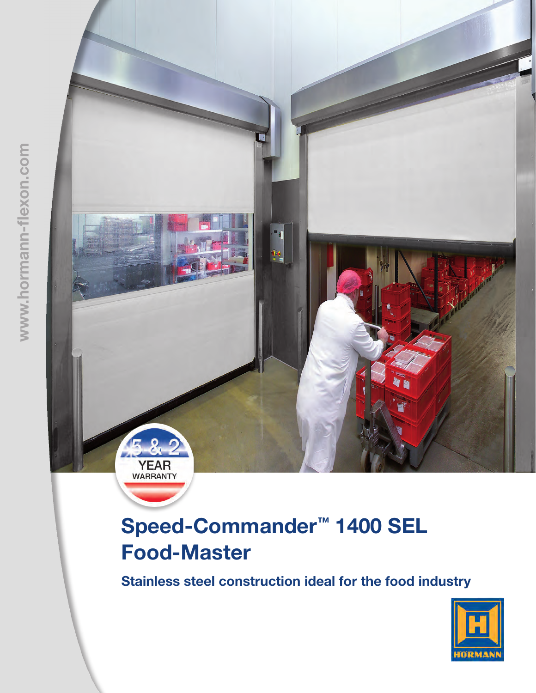

# Speed-Commander™ 1400 SEL Food-Master

Stainless steel construction ideal for the food industry